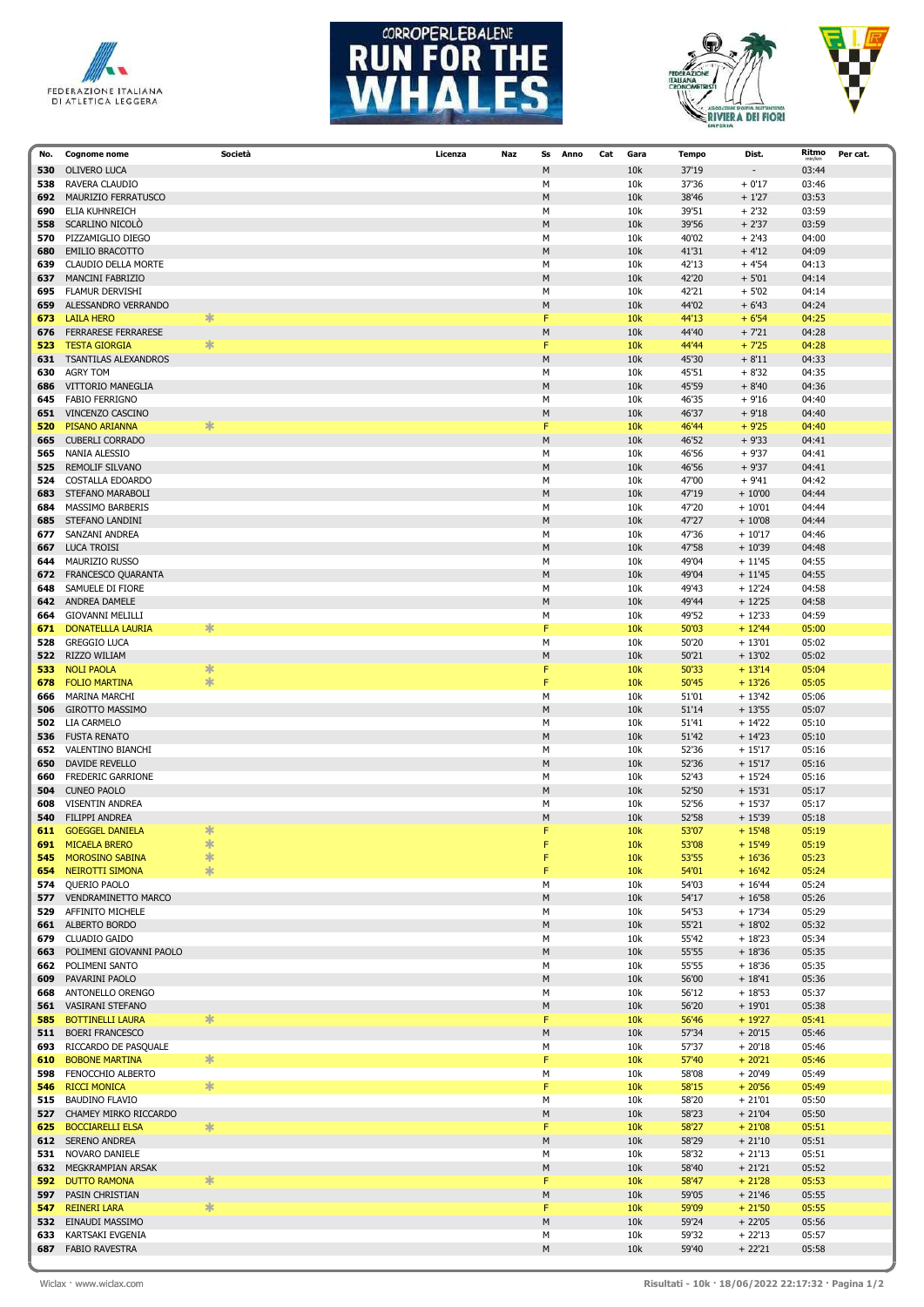







| No. | <b>Cognome nome</b>        | Società | Licenza | Naz | Ss        | Anno<br>Cat | Gara | <b>Tempo</b> | Dist.                    | Ritmo<br>min/km | Per cat. |
|-----|----------------------------|---------|---------|-----|-----------|-------------|------|--------------|--------------------------|-----------------|----------|
| 530 | <b>OLIVERO LUCA</b>        |         |         |     | M         |             | 10k  | 37'19        | $\overline{\phantom{a}}$ | 03:44           |          |
| 538 | RAVERA CLAUDIO             |         |         |     | М         |             | 10k  | 37'36        | $+0'17$                  | 03:46           |          |
| 692 | MAURIZIO FERRATUSCO        |         |         |     | M         |             | 10k  | 38'46        | $+1'27$                  | 03:53           |          |
| 690 | ELIA KUHNREICH             |         |         |     | М         |             | 10k  | 39'51        | $+2'32$                  | 03:59           |          |
| 558 | SCARLINO NICOLO            |         |         |     | ${\sf M}$ |             | 10k  | 39'56        | $+2'37$                  | 03:59           |          |
| 570 | PIZZAMIGLIO DIEGO          |         |         |     | M         |             | 10k  | 40'02        | $+2'43$                  | 04:00           |          |
| 680 | <b>EMILIO BRACOTTO</b>     |         |         |     | M         |             | 10k  | 41'31        | $+4'12$                  | 04:09           |          |
| 639 | CLAUDIO DELLA MORTE        |         |         |     | М         |             | 10k  | 42'13        | $+4'54$                  | 04:13           |          |
|     |                            |         |         |     |           |             |      | 42'20        |                          | 04:14           |          |
| 637 | <b>MANCINI FABRIZIO</b>    |         |         |     | M         |             | 10k  |              | $+5'01$                  |                 |          |
| 695 | FLAMUR DERVISHI            |         |         |     | M         |             | 10k  | 42'21        | $+5'02$                  | 04:14           |          |
| 659 | ALESSANDRO VERRANDO        |         |         |     | М         |             | 10k  | 44'02        | $+6'43$                  | 04:24           |          |
| 673 | <b>LAILA HERO</b>          | $\ast$  |         |     | F         |             | 10k  | 44'13        | $+6'54$                  | 04:25           |          |
| 676 | <b>FERRARESE FERRARESE</b> |         |         |     | M         |             | 10k  | 44'40        | $+7'21$                  | 04:28           |          |
| 523 | <b>TESTA GIORGIA</b>       | 氺       |         |     | F         |             | 10k  | 44'44        | $+7'25$                  | 04:28           |          |
| 631 | TSANTILAS ALEXANDROS       |         |         |     | M         |             | 10k  | 45'30        | $+8'11$                  | 04:33           |          |
| 630 | <b>AGRY TOM</b>            |         |         |     | М         |             | 10k  | 45'51        | $+8'32$                  | 04:35           |          |
| 686 | VITTORIO MANEGLIA          |         |         |     | M         |             | 10k  | 45'59        | $+8'40$                  | 04:36           |          |
| 645 | <b>FABIO FERRIGNO</b>      |         |         |     | М         |             | 10k  | 46'35        | $+9'16$                  | 04:40           |          |
| 651 | VINCENZO CASCINO           |         |         |     | М         |             | 10k  | 46'37        | $+9'18$                  | 04:40           |          |
| 520 | PISANO ARIANNA             | ∗       |         |     | F         |             | 10k  | 46'44        | $+9'25$                  | 04:40           |          |
| 665 | <b>CUBERLI CORRADO</b>     |         |         |     | ${\sf M}$ |             | 10k  | 46'52        | $+9'33$                  | 04:41           |          |
|     |                            |         |         |     |           |             |      | 46'56        | $+9'37$                  | 04:41           |          |
| 565 | NANIA ALESSIO              |         |         |     | М         |             | 10k  |              |                          |                 |          |
| 525 | <b>REMOLIF SILVANO</b>     |         |         |     | M         |             | 10k  | 46'56        | $+9'37$                  | 04:41           |          |
| 524 | COSTALLA EDOARDO           |         |         |     | М         |             | 10k  | 47'00        | $+9'41$                  | 04:42           |          |
| 683 | STEFANO MARABOLI           |         |         |     | ${\sf M}$ |             | 10k  | 47'19        | $+10'00$                 | 04:44           |          |
| 684 | MASSIMO BARBERIS           |         |         |     | M         |             | 10k  | 47'20        | $+10'01$                 | 04:44           |          |
| 685 | STEFANO LANDINI            |         |         |     | M         |             | 10k  | 47'27        | $+10'08$                 | 04:44           |          |
| 677 | SANZANI ANDREA             |         |         |     | М         |             | 10k  | 47'36        | $+10'17$                 | 04:46           |          |
| 667 | <b>LUCA TROISI</b>         |         |         |     | ${\sf M}$ |             | 10k  | 47'58        | $+10'39$                 | 04:48           |          |
| 644 | MAURIZIO RUSSO             |         |         |     | M         |             | 10k  | 49'04        | $+11'45$                 | 04:55           |          |
| 672 | FRANCESCO QUARANTA         |         |         |     | M         |             | 10k  | 49'04        | $+11'45$                 | 04:55           |          |
| 648 | SAMUELE DI FIORE           |         |         |     | М         |             | 10k  | 49'43        | $+12'24$                 | 04:58           |          |
| 642 | ANDREA DAMELE              |         |         |     | M         |             | 10k  | 49'44        | $+12'25$                 | 04:58           |          |
| 664 | <b>GIOVANNI MELILLI</b>    |         |         |     | М         |             | 10k  | 49'52        | $+12'33$                 | 04:59           |          |
| 671 | <b>DONATELLLA LAURIA</b>   | ∗       |         |     | F         |             | 10k  | 50'03        | $+12'44$                 | 05:00           |          |
|     | <b>GREGGIO LUCA</b>        |         |         |     | М         |             | 10k  | 50'20        | $+13'01$                 | 05:02           |          |
| 528 |                            |         |         |     |           |             |      |              |                          |                 |          |
| 522 | RIZZO WILIAM               |         |         |     | M         |             | 10k  | 50'21        | $+13'02$                 | 05:02           |          |
| 533 | <b>NOLI PAOLA</b>          | ∗       |         |     | F         |             | 10k  | 50'33        | $+13'14$                 | 05:04           |          |
| 678 | <b>FOLIO MARTINA</b>       | ∗       |         |     | F         |             | 10k  | 50'45        | $+13'26$                 | 05:05           |          |
| 666 | <b>MARINA MARCHI</b>       |         |         |     | М         |             | 10k  | 51'01        | $+13'42$                 | 05:06           |          |
| 506 | <b>GIROTTO MASSIMO</b>     |         |         |     | M         |             | 10k  | 51'14        | $+13'55$                 | 05:07           |          |
| 502 | LIA CARMELO                |         |         |     | М         |             | 10k  | 51'41        | $+14'22$                 | 05:10           |          |
| 536 | <b>FUSTA RENATO</b>        |         |         |     | ${\sf M}$ |             | 10k  | 51'42        | $+14'23$                 | 05:10           |          |
| 652 | <b>VALENTINO BIANCHI</b>   |         |         |     | M         |             | 10k  | 52'36        | $+15'17$                 | 05:16           |          |
| 650 | DAVIDE REVELLO             |         |         |     | M         |             | 10k  | 52'36        | $+15'17$                 | 05:16           |          |
| 660 | FREDERIC GARRIONE          |         |         |     | M         |             | 10k  | 52'43        | $+15'24$                 | 05:16           |          |
| 504 | <b>CUNEO PAOLO</b>         |         |         |     | M         |             | 10k  | 52'50        | $+15'31$                 | 05:17           |          |
| 608 | <b>VISENTIN ANDREA</b>     |         |         |     | М         |             | 10k  | 52'56        | $+15'37$                 | 05:17           |          |
| 540 | <b>FILIPPI ANDREA</b>      |         |         |     | М         |             | 10k  | 52'58        | $+15'39$                 | 05:18           |          |
| 611 | <b>GOEGGEL DANIELA</b>     | 氺       |         |     | F         |             | 10k  | 53'07        | $+15'48$                 | 05:19           |          |
| 691 | <b>MICAELA BRERO</b>       | $\ast$  |         |     | F         |             | 10k  | 53'08        | $+15'49$                 | 05:19           |          |
| 545 | <b>MOROSINO SABINA</b>     | $\ast$  |         |     | F         |             | 10k  | 53'55        | $+16'36$                 | 05:23           |          |
| 654 | NEIROTTI SIMONA            | 宋       |         |     | F         |             | 10k  | 54'01        | $+16'42$                 | 05:24           |          |
| 574 | QUERIO PAOLO               |         |         |     | М         |             |      |              |                          |                 |          |
|     |                            |         |         |     |           |             | 10k  | 54'03        | $+16'44$                 | 05:24           |          |
| 577 | VENDRAMINETTO MARCO        |         |         |     | ${\sf M}$ |             | 10k  | 54'17        | $+16'58$                 | 05:26           |          |
| 529 | AFFINITO MICHELE           |         |         |     | М         |             | 10k  | 54'53        | $+17'34$                 | 05:29           |          |
| 661 | <b>ALBERTO BORDO</b>       |         |         |     | ${\sf M}$ |             | 10k  | 55'21        | $+18'02$                 | 05:32           |          |
| 679 | <b>CLUADIO GAIDO</b>       |         |         |     | М         |             | 10k  | 55'42        | $+18'23$                 | 05:34           |          |
| 663 | POLIMENI GIOVANNI PAOLO    |         |         |     | ${\sf M}$ |             | 10k  | 55'55        | $+18'36$                 | 05:35           |          |
| 662 | POLIMENI SANTO             |         |         |     | М         |             | 10k  | 55'55        | $+18'36$                 | 05:35           |          |
| 609 | PAVARINI PAOLO             |         |         |     | ${\sf M}$ |             | 10k  | 56'00        | $+18'41$                 | 05:36           |          |
| 668 | ANTONELLO ORENGO           |         |         |     | М         |             | 10k  | 56'12        | $+18'53$                 | 05:37           |          |
| 561 | VASIRANI STEFANO           |         |         |     | ${\sf M}$ |             | 10k  | 56'20        | $+19'01$                 | 05:38           |          |
| 585 | <b>BOTTINELLI LAURA</b>    | ∗       |         |     | F         |             | 10k  | 56'46        | $+19'27$                 | 05:41           |          |
| 511 | <b>BOERI FRANCESCO</b>     |         |         |     | M         |             | 10k  | 57'34        | $+20'15$                 | 05:46           |          |
| 693 | RICCARDO DE PASQUALE       |         |         |     | М         |             | 10k  | 57'37        | $+20'18$                 | 05:46           |          |
| 610 | <b>BOBONE MARTINA</b>      | $\ast$  |         |     | F         |             | 10k  | 57'40        | $+20'21$                 | 05:46           |          |
| 598 | FENOCCHIO ALBERTO          |         |         |     | М         |             | 10k  | 58'08        | $+20'49$                 | 05:49           |          |
| 546 | <b>RICCI MONICA</b>        | $*$     |         |     | F         |             | 10k  | 58'15        | $+20'56$                 | 05:49           |          |
| 515 | <b>BAUDINO FLAVIO</b>      |         |         |     | М         |             | 10k  | 58'20        | $+21'01$                 | 05:50           |          |
| 527 | CHAMEY MIRKO RICCARDO      |         |         |     | М         |             | 10k  | 58'23        | $+21'04$                 | 05:50           |          |
| 625 | <b>BOCCIARELLI ELSA</b>    | ∗       |         |     | F         |             | 10k  | 58'27        | $+21'08$                 | 05:51           |          |
|     |                            |         |         |     |           |             |      |              |                          |                 |          |
|     | 612 SERENO ANDREA          |         |         |     | ${\sf M}$ |             | 10k  | 58'29        | $+21'10$                 | 05:51           |          |
| 531 | NOVARO DANIELE             |         |         |     | М         |             | 10k  | 58'32        | $+21'13$                 | 05:51           |          |
| 632 | MEGKRAMPIAN ARSAK          |         |         |     | M         |             | 10k  | 58'40        | $+21'21$                 | 05:52           |          |
| 592 | <b>DUTTO RAMONA</b>        | $\ast$  |         |     | F         |             | 10k  | 58'47        | $+21'28$                 | 05:53           |          |
| 597 | PASIN CHRISTIAN            |         |         |     | ${\sf M}$ |             | 10k  | 59'05        | $+21'46$                 | 05:55           |          |
| 547 | <b>REINERI LARA</b>        | ∗       |         |     | F         |             | 10k  | 59'09        | $+21'50$                 | 05:55           |          |
| 532 | EINAUDI MASSIMO            |         |         |     | ${\sf M}$ |             | 10k  | 59'24        | $+22'05$                 | 05:56           |          |
| 633 | KARTSAKI EVGENIA           |         |         |     | М         |             | 10k  | 59'32        | $+22'13$                 | 05:57           |          |
| 687 | <b>FABIO RAVESTRA</b>      |         |         |     | ${\sf M}$ |             | 10k  | 59'40        | $+22'21$                 | 05:58           |          |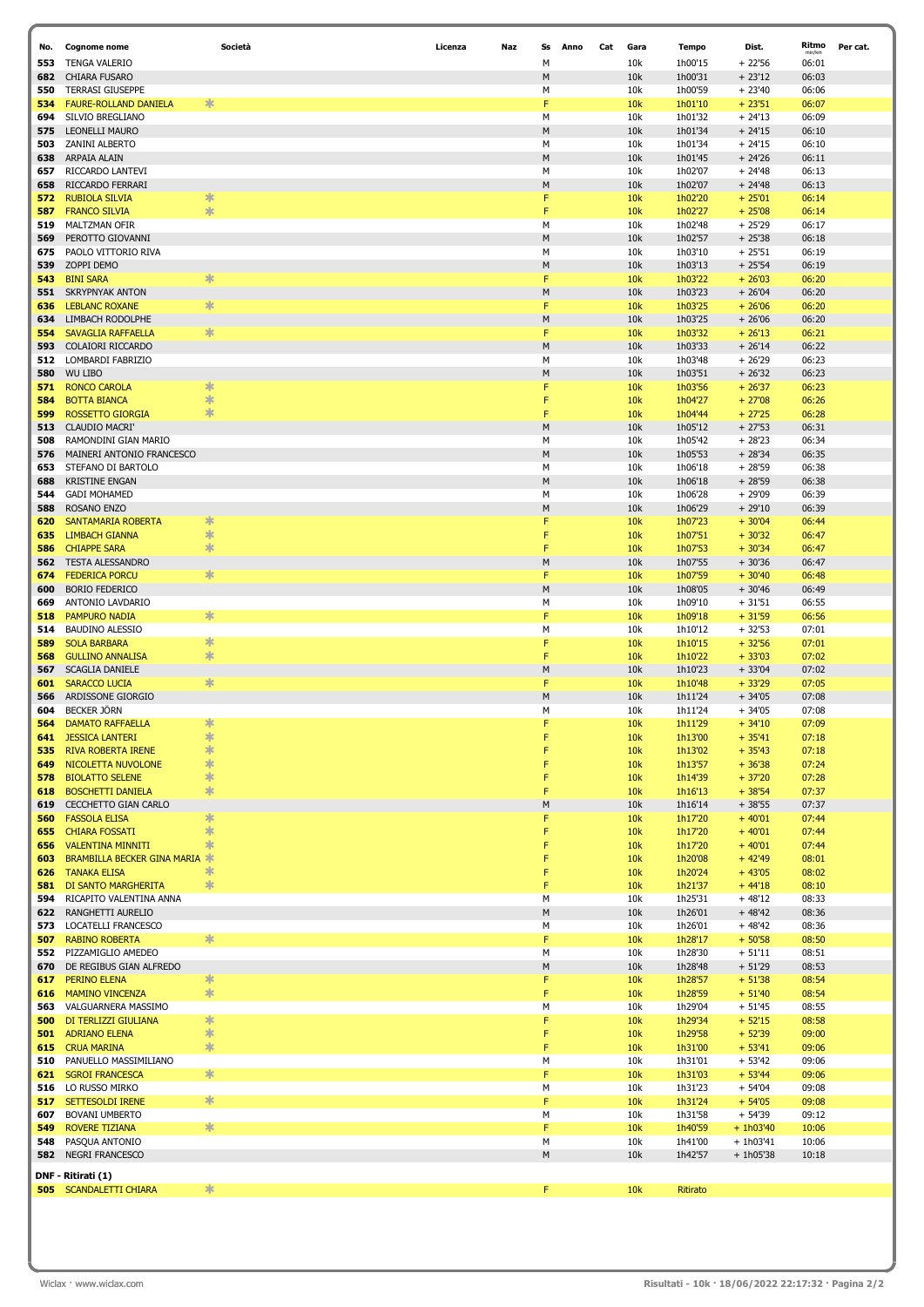| No.        | <b>Cognome nome</b>                            | Società | Licenza | Naz | Ss        | Anno | Cat | Gara       | Tempo              | Dist.                      | Ritmo          | Per cat. |
|------------|------------------------------------------------|---------|---------|-----|-----------|------|-----|------------|--------------------|----------------------------|----------------|----------|
| 553        | <b>TENGA VALERIO</b>                           |         |         |     | M         |      |     | 10k        | 1h00'15            | $+22'56$                   | 06:01          |          |
| 682        | CHIARA FUSARO                                  |         |         |     | M         |      |     | 10k        | 1h00'31            | $+23'12$                   | 06:03          |          |
| 550        | <b>TERRASI GIUSEPPE</b>                        |         |         |     | М         |      |     | 10k        | 1h00'59            | $+23'40$                   | 06:06          |          |
| 534        | <b>FAURE-ROLLAND DANIELA</b>                   | *       |         |     | F         |      |     | 10k        | 1h01'10            | $+23'51$                   | 06:07          |          |
| 694        | SILVIO BREGLIANO                               |         |         |     | М         |      |     | 10k        | 1h01'32            | $+24'13$                   | 06:09          |          |
| 575        | LEONELLI MAURO                                 |         |         |     | M         |      |     | 10k        | 1h01'34            | $+24'15$                   | 06:10          |          |
| 503        | ZANINI ALBERTO                                 |         |         |     | M         |      |     | 10k        | 1h01'34            | $+24'15$                   | 06:10          |          |
| 638        | ARPAIA ALAIN                                   |         |         |     | M         |      |     | 10k        | 1h01'45            | $+ 24'26$                  | 06:11          |          |
| 657        | RICCARDO LANTEVI                               |         |         |     | М         |      |     | 10k        | 1h02'07            | $+24'48$                   | 06:13          |          |
| 658        | RICCARDO FERRARI                               |         |         |     | M         |      |     | 10k        | 1h02'07            | $+ 24'48$                  | 06:13          |          |
| 572        | <b>RUBIOLA SILVIA</b>                          | ∗       |         |     | F         |      |     | 10k        | 1h02'20            | $+25'01$                   | 06:14          |          |
| 587        | <b>FRANCO SILVIA</b>                           | $\ast$  |         |     | F         |      |     | 10k        | 1h02'27            | $+25'08$                   | 06:14          |          |
| 519        | MALTZMAN OFIR                                  |         |         |     | M         |      |     | 10k        | 1h02'48            | $+25'29$                   | 06:17          |          |
| 569        | PEROTTO GIOVANNI                               |         |         |     | M         |      |     | 10k        | 1h02'57            | $+25'38$                   | 06:18          |          |
| 675        | PAOLO VITTORIO RIVA                            |         |         |     | М         |      |     | 10k        | 1h03'10            | $+25'51$                   | 06:19          |          |
| 539        | ZOPPI DEMO                                     |         |         |     | M         |      |     | 10k        | 1h03'13            | $+25'54$                   | 06:19          |          |
| 543        | <b>BINI SARA</b>                               | $\ast$  |         |     | F         |      |     | 10k        | 1h03'22            | $+26'03$                   | 06:20          |          |
| 551        | <b>SKRYPNYAK ANTON</b>                         |         |         |     | М         |      |     | 10k        | 1h03'23            | $+26'04$                   | 06:20          |          |
| 636        | <b>LEBLANC ROXANE</b>                          | ∗       |         |     | F         |      |     | 10k        | 1h03'25            | $+26'06$                   | 06:20          |          |
| 634        | LIMBACH RODOLPHE                               |         |         |     | ${\sf M}$ |      |     | 10k        | 1h03'25            | $+26'06$                   | 06:20          |          |
| 554        | <b>SAVAGLIA RAFFAELLA</b>                      | ∗       |         |     | F         |      |     | 10k        | 1h03'32            | $+26'13$                   | 06:21          |          |
| 593        | COLAIORI RICCARDO                              |         |         |     | M         |      |     | 10k        | 1h03'33            | $+26'14$                   | 06:22          |          |
| 512        | LOMBARDI FABRIZIO                              |         |         |     | М         |      |     | 10k        | 1h03'48            | $+26'29$                   | 06:23          |          |
| 580        | <b>WU LIBO</b>                                 |         |         |     | M         |      |     | 10k        | 1h03'51            | $+26'32$                   | 06:23          |          |
| 571        | <b>RONCO CAROLA</b>                            | ∗       |         |     | F         |      |     | 10k        | 1h03'56            | $+26'37$                   | 06:23          |          |
| 584        | <b>BOTTA BIANCA</b>                            | ∗       |         |     | F         |      |     | 10k        | 1h04'27            | $+27'08$                   | 06:26          |          |
| 599        | <b>ROSSETTO GIORGIA</b>                        | ∗       |         |     | F         |      |     | 10k        | 1h04'44            | $+27'25$                   | 06:28          |          |
| 513        | <b>CLAUDIO MACRI</b>                           |         |         |     | M         |      |     | 10k        | 1h05'12            | $+27'53$                   | 06:31          |          |
| 508        | RAMONDINI GIAN MARIO                           |         |         |     | М         |      |     | 10k        | 1h05'42            | $+28'23$                   | 06:34          |          |
| 576        | MAINERI ANTONIO FRANCESCO                      |         |         |     | M         |      |     | 10k        | 1h05'53            | $+28'34$                   | 06:35          |          |
| 653        | STEFANO DI BARTOLO                             |         |         |     | M         |      |     | 10k        | 1h06'18            | $+28'59$                   | 06:38          |          |
| 688        | <b>KRISTINE ENGAN</b>                          |         |         |     | ${\sf M}$ |      |     | 10k        | 1h06'18            | $+28'59$                   | 06:38          |          |
| 544        | <b>GADI MOHAMED</b>                            |         |         |     | М         |      |     | 10k        | 1h06'28            | $+29'09$                   | 06:39          |          |
| 588        | ROSANO ENZO                                    |         |         |     | M         |      |     | 10k        | 1h06'29            | $+29'10$                   | 06:39          |          |
| 620        | SANTAMARIA ROBERTA                             | ∗       |         |     | F         |      |     | 10k        | 1h07'23            | $+30'04$                   | 06:44          |          |
| 635        | <b>LIMBACH GIANNA</b>                          | $\ast$  |         |     | F         |      |     | 10k        | 1h07'51            | $+30'32$                   | 06:47          |          |
| 586        | <b>CHIAPPE SARA</b>                            | ∗       |         |     | F         |      |     | 10k        | 1h07'53            | $+30'34$                   | 06:47          |          |
| 562        | <b>TESTA ALESSANDRO</b>                        |         |         |     | ${\sf M}$ |      |     | 10k        | 1h07'55            | $+30'36$                   | 06:47          |          |
| 674        | <b>FEDERICA PORCU</b>                          | ∗       |         |     | F         |      |     | 10k        | 1h07'59            | $+30'40$                   | 06:48          |          |
| 600        | <b>BORIO FEDERICO</b>                          |         |         |     | M         |      |     | 10k        | 1h08'05            | $+30'46$                   | 06:49          |          |
| 669        | ANTONIO LAVDARIO                               |         |         |     | М         |      |     | 10k        | 1h09'10            | $+31'51$                   | 06:55          |          |
| 518        | <b>PAMPURO NADIA</b>                           | ∗       |         |     | F         |      |     | 10k        | 1h09'18            | $+31'59$                   | 06:56          |          |
| 514        | <b>BAUDINO ALESSIO</b>                         | $\ast$  |         |     | М<br>F    |      |     | 10k        | 1h10'12            | $+32'53$                   | 07:01          |          |
| 589<br>568 | <b>SOLA BARBARA</b><br><b>GULLINO ANNALISA</b> | $\ast$  |         |     | F         |      |     | 10k<br>10k | 1h10'15<br>1h10'22 | $+32'56$<br>$+33'03$       | 07:01<br>07:02 |          |
| 567        | <b>SCAGLIA DANIELE</b>                         |         |         |     | M         |      |     | 10k        | 1h10'23            | $+33'04$                   | 07:02          |          |
| 601        | <b>SARACCO LUCIA</b>                           | ∗       |         |     | F         |      |     | 10k        | 1h10'48            | $+33'29$                   | 07:05          |          |
| 566        | ARDISSONE GIORGIO                              |         |         |     | M         |      |     | 10k        | 1h11'24            | $+34'05$                   | 07:08          |          |
| 604        | BECKER JÖRN                                    |         |         |     | М         |      |     | 10k        | 1h11'24            | $+34'05$                   | 07:08          |          |
| 564        | <b>DAMATO RAFFAELLA</b>                        | ∗       |         |     | F         |      |     | 10k        | 1h11'29            | $+34'10$                   | 07:09          |          |
| 641        | <b>JESSICA LANTERI</b>                         | ж       |         |     |           |      |     | 10k        | 1h13'00            | $+35'41$                   | 07:18          |          |
| 535        | <b>RIVA ROBERTA IRENE</b>                      | ∗       |         |     | F         |      |     | 10k        | 1h13'02            | $+35'43$                   | 07:18          |          |
| 649        | NICOLETTA NUVOLONE                             | ∗       |         |     |           |      |     | 10k        | 1h13'57            | $+36'38$                   | 07:24          |          |
| 578        | <b>BIOLATTO SELENE</b>                         | $\ast$  |         |     | F         |      |     | 10k        | 1h14'39            | $+37'20$                   | 07:28          |          |
| 618        | <b>BOSCHETTI DANIELA</b>                       | ∗       |         |     | F         |      |     | 10k        | 1h16'13            | $+38'54$                   | 07:37          |          |
| 619        | CECCHETTO GIAN CARLO                           |         |         |     | М         |      |     | 10k        | 1h16'14            | $+38'55$                   | 07:37          |          |
| 560        | <b>FASSOLA ELISA</b>                           | ∗       |         |     | F         |      |     | 10k        | 1h17'20            | $+40'01$                   | 07:44          |          |
| 655        | <b>CHIARA FOSSATI</b>                          | $\ast$  |         |     | F         |      |     | 10k        | 1h17'20            | $+40'01$                   | 07:44          |          |
| 656        | <b>VALENTINA MINNITI</b>                       | ∗       |         |     | F         |      |     | 10k        | 1h17'20            | $+40'01$                   | 07:44          |          |
| 603        | BRAMBILLA BECKER GINA MARIA                    |         |         |     | F         |      |     | 10k        | 1h20'08            | $+42'49$                   | 08:01          |          |
| 626        | <b>TANAKA ELISA</b>                            | ∗       |         |     | F         |      |     | 10k        | 1h20'24            | $+43'05$                   | 08:02          |          |
| 581        | DI SANTO MARGHERITA                            | 氺       |         |     | F         |      |     | 10k        | 1h21'37            | $+44'18$                   | 08:10          |          |
| 594        | RICAPITO VALENTINA ANNA                        |         |         |     | М         |      |     | 10k        | 1h25'31            | $+48'12$                   | 08:33          |          |
| 622        | RANGHETTI AURELIO                              |         |         |     | M         |      |     | 10k        | 1h26'01            | $+48'42$                   | 08:36          |          |
| 573        | LOCATELLI FRANCESCO                            |         |         |     | М         |      |     | 10k        | 1h26'01            | $+48'42$                   | 08:36          |          |
| 507        | <b>RABINO ROBERTA</b>                          | $\ast$  |         |     | F         |      |     | 10k        | 1h28'17            | $+50'58$                   | 08:50          |          |
| 552        | PIZZAMIGLIO AMEDEO                             |         |         |     | М         |      |     | 10k        | 1h28'30            | $+ 51'11$                  | 08:51          |          |
| 670        | DE REGIBUS GIAN ALFREDO                        |         |         |     | M         |      |     | 10k        | 1h28'48            | $+ 51'29$                  | 08:53          |          |
| 617        | PERINO ELENA                                   | ∗       |         |     | F         |      |     | 10k        | 1h28'57            | $+51'38$                   | 08:54          |          |
| 616        | <b>MAMINO VINCENZA</b>                         | $*$     |         |     | F         |      |     | 10k        | 1h28'59            | $+51'40$                   | 08:54          |          |
| 563        | VALGUARNERA MASSIMO                            |         |         |     | M         |      |     | 10k        | 1h29'04            | $+51'45$                   | 08:55          |          |
| 500        | DI TERLIZZI GIULIANA                           | ∗       |         |     | F         |      |     | 10k        | 1h29'34            | $+52'15$                   | 08:58          |          |
| 501        | <b>ADRIANO ELENA</b>                           | ∗       |         |     | F         |      |     | 10k        | 1h29'58            | $+52'39$                   | 09:00          |          |
| 615        | <b>CRUA MARINA</b>                             | ∗       |         |     | F         |      |     | 10k        | 1h31'00            | $+53'41$                   | 09:06          |          |
| 510        | PANUELLO MASSIMILIANO                          |         |         |     | М         |      |     | 10k        | 1h31'01            | $+ 53'42$                  | 09:06          |          |
| 621        | <b>SGROI FRANCESCA</b>                         | ∗       |         |     | F         |      |     | 10k        | 1h31'03            | $+53'44$                   | 09:06          |          |
| 516        | LO RUSSO MIRKO                                 |         |         |     | м         |      |     | 10k        | 1h31'23            | $+54'04$                   | 09:08          |          |
| 517        | SETTESOLDI IRENE                               | ∗       |         |     | F         |      |     | 10k        | 1h31'24            | $+54'05$                   | 09:08          |          |
| 607        | <b>BOVANI UMBERTO</b>                          | $\ast$  |         |     | М         |      |     | 10k        | 1h31'58            | $+54'39$                   | 09:12          |          |
| 549        | <b>ROVERE TIZIANA</b>                          |         |         |     | F         |      |     | 10k        | 1h40'59            | $+ 1h03'40$                | 10:06          |          |
| 548<br>582 | PASQUA ANTONIO<br><b>NEGRI FRANCESCO</b>       |         |         |     | М<br>M    |      |     | 10k<br>10k | 1h41'00<br>1h42'57 | $+ 1h03'41$<br>$+ 1h05'38$ | 10:06<br>10:18 |          |
|            |                                                |         |         |     |           |      |     |            |                    |                            |                |          |
|            | DNF - Ritirati (1)                             |         |         |     |           |      |     |            |                    |                            |                |          |
| 505        | <b>SCANDALETTI CHIARA</b>                      | ∗       |         |     | F         |      |     | 10k        | Ritirato           |                            |                |          |
|            |                                                |         |         |     |           |      |     |            |                    |                            |                |          |

ſ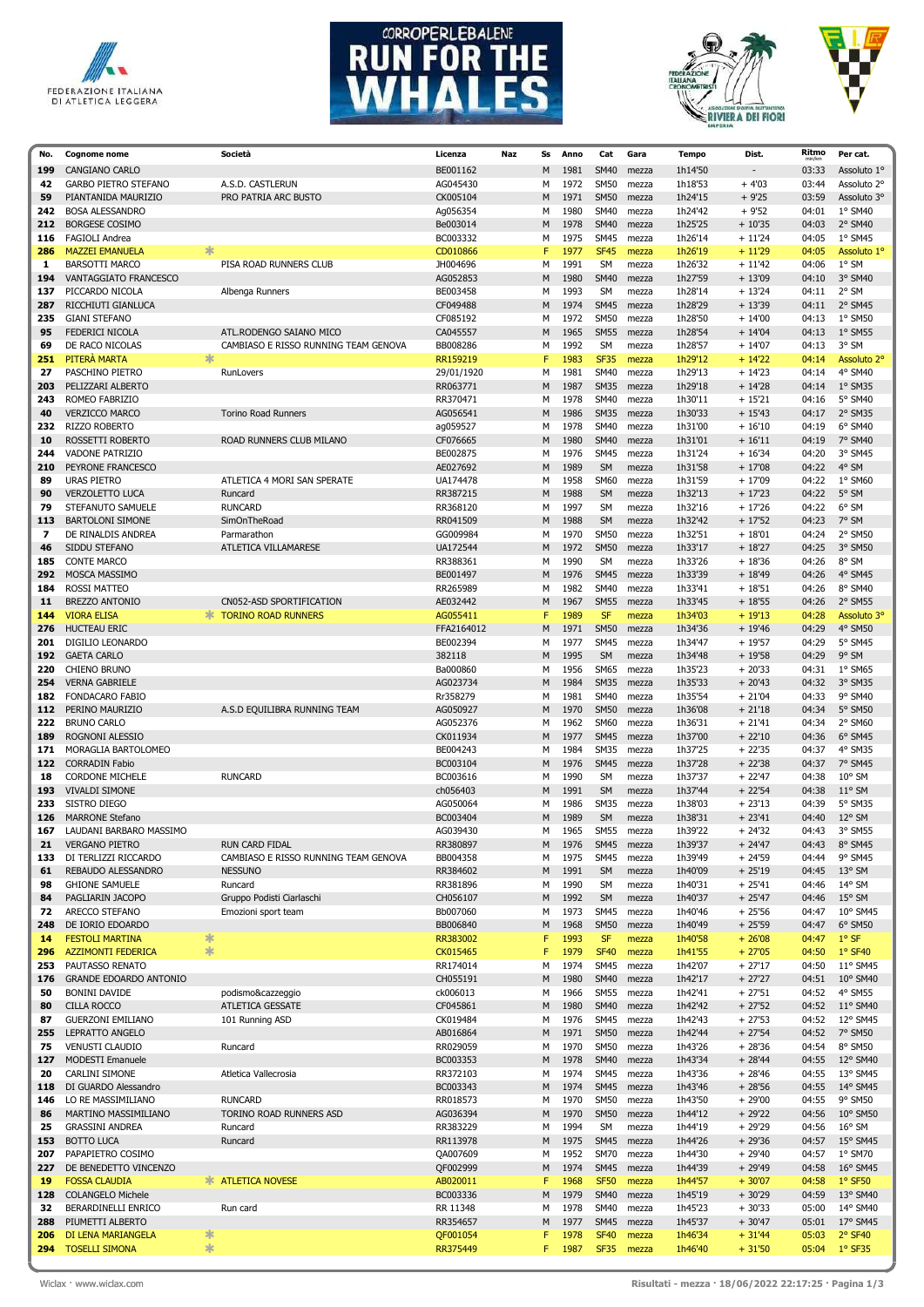





| No.        | <b>Cognome nome</b>                         |        | Società                              | Licenza                | Naz | Ss     | Anno         | Cat                        | Gara           | <b>Tempo</b>       | Dist.                | Ritmo          | Per cat.                           |
|------------|---------------------------------------------|--------|--------------------------------------|------------------------|-----|--------|--------------|----------------------------|----------------|--------------------|----------------------|----------------|------------------------------------|
| 199        | <b>CANGIANO CARLO</b>                       |        |                                      | BE001162               |     | M      | 1981         | <b>SM40</b>                | mezza          | 1h14'50            |                      | 03:33          | Assoluto 1°                        |
| 42         | <b>GARBO PIETRO STEFANO</b>                 |        | A.S.D. CASTLERUN                     | AG045430               |     | M      | 1972         | <b>SM50</b>                | mezza          | 1h18'53            | $+4'03$              | 03:44          | Assoluto 2°                        |
| 59         | PIANTANIDA MAURIZIO                         |        | PRO PATRIA ARC BUSTO                 | CK005104               |     | M      | 1971         | <b>SM50</b>                | mezza          | 1h24'15            | $+9'25$              | 03:59          | Assoluto 3°                        |
| 242        | <b>BOSA ALESSANDRO</b>                      |        |                                      | Ag056354               |     | М      | 1980         | <b>SM40</b>                | mezza          | 1h24'42            | $+9'52$              | 04:01          | 1° SM40                            |
| 212        | <b>BORGESE COSIMO</b>                       |        |                                      | Be003014               |     | M      | 1978         | <b>SM40</b>                | mezza          | 1h25'25            | $+10'35$             | 04:03          | 2° SM40                            |
| 116        | <b>FAGIOLI Andrea</b>                       |        |                                      | BC003332               |     | М      | 1975         | <b>SM45</b>                | mezza          | 1h26'14            | $+11'24$             | 04:05          | 1° SM45                            |
| 286        | <b>MAZZEI EMANUELA</b>                      | 宋      |                                      | CD010866               |     | F      | 1977         | <b>SF45</b>                | mezza          | 1h26'19            | $+11'29$             | 04:05          | Assoluto 1°                        |
| 1          | <b>BARSOTTI MARCO</b>                       |        | PISA ROAD RUNNERS CLUB               | JH004696               |     | M      | 1991         | <b>SM</b>                  | mezza          | 1h26'32            | $+11'42$             | 04:06          | $1°$ SM                            |
| 194<br>137 | VANTAGGIATO FRANCESCO<br>PICCARDO NICOLA    |        | Albenga Runners                      | AG052853<br>BE003458   |     | M<br>M | 1980<br>1993 | <b>SM40</b><br><b>SM</b>   | mezza<br>mezza | 1h27'59<br>1h28'14 | $+13'09$<br>$+13'24$ | 04:10<br>04:11 | 3° SM40<br>2° SM                   |
| 287        | RICCHIUTI GIANLUCA                          |        |                                      | CF049488               |     | M      | 1974         | <b>SM45</b>                | mezza          | 1h28'29            | $+13'39$             | 04:11          | 2° SM45                            |
| 235        | <b>GIANI STEFANO</b>                        |        |                                      | CF085192               |     | М      | 1972         | <b>SM50</b>                | mezza          | 1h28'50            | $+14'00$             | 04:13          | 1° SM50                            |
| 95         | FEDERICI NICOLA                             |        | ATL.RODENGO SAIANO MICO              | CA045557               |     | M      | 1965         | <b>SM55</b>                | mezza          | 1h28'54            | $+14'04$             | 04:13          | 1° SM55                            |
| 69         | DE RACO NICOLAS                             |        | CAMBIASO E RISSO RUNNING TEAM GENOVA | BB008286               |     | М      | 1992         | <b>SM</b>                  | mezza          | 1h28'57            | $+14'07$             | 04:13          | 3° SM                              |
| 251        | PITERÀ MARTA                                | 宋      |                                      | RR159219               |     | F      | 1983         | <b>SF35</b>                | mezza          | 1h29'12            | $+14'22$             | 04:14          | Assoluto 2°                        |
| 27         | PASCHINO PIETRO                             |        | RunLovers                            | 29/01/1920             |     | М      | 1981         | <b>SM40</b>                | mezza          | 1h29'13            | $+14'23$             | 04:14          | 4° SM40                            |
| 203        | PELIZZARI ALBERTO                           |        |                                      | RR063771               |     | M      | 1987         | <b>SM35</b>                | mezza          | 1h29'18            | $+14'28$             | 04:14          | 1° SM35                            |
| 243        | ROMEO FABRIZIO                              |        |                                      | RR370471               |     | м      | 1978         | <b>SM40</b>                | mezza          | 1h30'11            | $+15'21$             | 04:16          | 5° SM40                            |
| 40         | <b>VERZICCO MARCO</b>                       |        | <b>Torino Road Runners</b>           | AG056541               |     | M      | 1986         | <b>SM35</b>                | mezza          | 1h30'33            | $+15'43$             | 04:17          | 2° SM35                            |
| 232        | RIZZO ROBERTO                               |        |                                      | ag059527               |     | м      | 1978         | <b>SM40</b>                | mezza          | 1h31'00            | $+16'10$             | 04:19          | 6° SM40                            |
| 10         | ROSSETTI ROBERTO<br><b>VADONE PATRIZIO</b>  |        | ROAD RUNNERS CLUB MILANO             | CF076665               |     | M      | 1980         | <b>SM40</b>                | mezza          | 1h31'01            | $+16'11$             | 04:19          | 7° SM40                            |
| 244<br>210 | PEYRONE FRANCESCO                           |        |                                      | BE002875<br>AE027692   |     | м<br>M | 1976<br>1989 | <b>SM45</b><br><b>SM</b>   | mezza<br>mezza | 1h31'24<br>1h31'58 | $+16'34$<br>$+17'08$ | 04:20<br>04:22 | 3° SM45<br>4° SM                   |
| 89         | <b>URAS PIETRO</b>                          |        | ATLETICA 4 MORI SAN SPERATE          | UA174478               |     | М      | 1958         | <b>SM60</b>                | mezza          | 1h31'59            | $+17'09$             | 04:22          | 1° SM60                            |
| 90         | <b>VERZOLETTO LUCA</b>                      |        | Runcard                              | RR387215               |     | M      | 1988         | <b>SM</b>                  | mezza          | 1h32'13            | $+17'23$             | 04:22          | 5° SM                              |
| 79         | STEFANUTO SAMUELE                           |        | <b>RUNCARD</b>                       | RR368120               |     | М      | 1997         | <b>SM</b>                  | mezza          | 1h32'16            | $+17'26$             | 04:22          | 6° SM                              |
| 113        | <b>BARTOLONI SIMONE</b>                     |        | SimOnTheRoad                         | RR041509               |     | M      | 1988         | <b>SM</b>                  | mezza          | 1h32'42            | $+17'52$             | 04:23          | 7° SM                              |
| 7          | DE RINALDIS ANDREA                          |        | Parmarathon                          | GG009984               |     | М      | 1970         | <b>SM50</b>                | mezza          | 1h32'51            | $+18'01$             | 04:24          | 2° SM50                            |
| 46         | SIDDU STEFANO                               |        | ATLETICA VILLAMARESE                 | UA172544               |     | M      | 1972         | <b>SM50</b>                | mezza          | 1h33'17            | $+18'27$             | 04:25          | 3° SM50                            |
| 185        | <b>CONTE MARCO</b>                          |        |                                      | RR388361               |     | M      | 1990         | <b>SM</b>                  | mezza          | 1h33'26            | $+18'36$             | 04:26          | 8° SM                              |
| 292        | MOSCA MASSIMO                               |        |                                      | BE001497               |     | M      | 1976         | <b>SM45</b>                | mezza          | 1h33'39            | $+18'49$             | 04:26          | 4° SM45                            |
| 184        | <b>ROSSI MATTEO</b>                         |        |                                      | RR265989               |     | М      | 1982         | <b>SM40</b>                | mezza          | 1h33'41            | $+18'51$             | 04:26          | 8° SM40                            |
| 11         | <b>BREZZO ANTONIO</b>                       |        | CN052-ASD SPORTIFICATION             | AE032442               |     | M      | 1967         | <b>SM55</b>                | mezza          | 1h33'45            | $+18'55$             | 04:26          | 2° SM55                            |
| 144        | <b>VIORA ELISA</b>                          | $\ast$ | <b>TORINO ROAD RUNNERS</b>           | AG055411               |     | F      | 1989         | <b>SF</b>                  | mezza          | 1h34'03            | $+19'13$             | 04:28          | Assoluto 3°                        |
| 276<br>201 | <b>HUCTEAU ERIC</b><br>DIGILIO LEONARDO     |        |                                      | FFA2164012<br>BE002394 |     | M<br>м | 1971<br>1977 | <b>SM50</b><br><b>SM45</b> | mezza          | 1h34'36<br>1h34'47 | $+19'46$<br>$+19'57$ | 04:29<br>04:29 | 4° SM50<br>5° SM45                 |
| 192        | <b>GAETA CARLO</b>                          |        |                                      | 382118                 |     | M      | 1995         | <b>SM</b>                  | mezza<br>mezza | 1h34'48            | $+19'58$             | 04:29          | 9° SM                              |
| 220        | CHIENO BRUNO                                |        |                                      | Ba000860               |     | м      | 1956         | <b>SM65</b>                | mezza          | 1h35'23            | $+20'33$             | 04:31          | 1° SM65                            |
| 254        | <b>VERNA GABRIELE</b>                       |        |                                      | AG023734               |     | M      | 1984         | <b>SM35</b>                | mezza          | 1h35'33            | $+20'43$             | 04:32          | 3° SM35                            |
| 182        | FONDACARO FABIO                             |        |                                      | Rr358279               |     | М      | 1981         | <b>SM40</b>                | mezza          | 1h35'54            | $+21'04$             | 04:33          | 9° SM40                            |
| 112        | PERINO MAURIZIO                             |        | A.S.D EQUILIBRA RUNNING TEAM         | AG050927               |     | M      | 1970         | <b>SM50</b>                | mezza          | 1h36'08            | $+21'18$             | 04:34          | 5° SM50                            |
| 222        | <b>BRUNO CARLO</b>                          |        |                                      | AG052376               |     | м      | 1962         | <b>SM60</b>                | mezza          | 1h36'31            | $+21'41$             | 04:34          | 2° SM60                            |
| 189        | ROGNONI ALESSIO                             |        |                                      | CK011934               |     | M      | 1977         | <b>SM45</b>                | mezza          | 1h37'00            | $+22'10$             | 04:36          | 6° SM45                            |
| 171        | MORAGLIA BARTOLOMEO                         |        |                                      | BE004243               |     | М      | 1984         | <b>SM35</b>                | mezza          | 1h37'25            | $+22'35$             | 04:37          | 4° SM35                            |
| 122        | <b>CORRADIN Fabio</b>                       |        |                                      | BC003104               |     | M      | 1976         | <b>SM45</b>                | mezza          | 1h37'28            | $+22'38$             | 04:37          | 7° SM45                            |
| 18         | <b>CORDONE MICHELE</b>                      |        | <b>RUNCARD</b>                       | BC003616               |     | М      | 1990<br>1991 | <b>SM</b><br><b>SM</b>     | mezza          | 1h37'37<br>1h37'44 | $+22'47$<br>$+22'54$ | 04:38<br>04:38 | $10^{\circ}$ SM<br>$11^{\circ}$ SM |
| 193<br>233 | <b>VIVALDI SIMONE</b><br>SISTRO DIEGO       |        |                                      | ch056403<br>AG050064   |     | M<br>M | 1986         | <b>SM35</b>                | mezza<br>mezza | 1h38'03            | $+23'13$             | 04:39          | 5° SM35                            |
| 126        | <b>MARRONE Stefano</b>                      |        |                                      | BC003404               |     | M      | 1989         | <b>SM</b>                  | mezza          | 1h38'31            | $+23'41$             | 04:40          | $12^{\circ}$ SM                    |
| 167        | LAUDANI BARBARO MASSIMO                     |        |                                      | AG039430               |     | M      | 1965         | <b>SM55</b>                | mezza          | 1h39'22            | $+24'32$             | 04:43          | 3° SM55                            |
| 21         | <b>VERGANO PIETRO</b>                       |        | RUN CARD FIDAL                       | RR380897               |     | M      | 1976         | <b>SM45</b>                | mezza          | 1h39'37            | $+ 24'47$            | 04:43          | 8° SM45                            |
| 133        | DI TERLIZZI RICCARDO                        |        | CAMBIASO E RISSO RUNNING TEAM GENOVA | BB004358               |     | М      | 1975         | <b>SM45</b>                | mezza          | 1h39'49            | $+24'59$             | 04:44          | 9° SM45                            |
| 61         | REBAUDO ALESSANDRO                          |        | <b>NESSUNO</b>                       | RR384602               |     | М      | 1991         | SM                         | mezza          | 1h40'09            | $+25'19$             | 04:45          | 13° SM                             |
| 98         | <b>GHIONE SAMUELE</b>                       |        | Runcard                              | RR381896               |     | М      | 1990         | SM                         | mezza          | 1h40'31            | $+25'41$             | 04:46          | 14° SM                             |
| 84         | PAGLIARIN JACOPO                            |        | Gruppo Podisti Ciarlaschi            | CH056107               |     | M      | 1992         | SM                         | mezza          | 1h40'37            | $+25'47$             | 04:46          | $15^{\circ}$ SM                    |
| 72         | ARECCO STEFANO                              |        | Emozioni sport team                  | Bb007060               |     | М      | 1973         | <b>SM45</b>                | mezza          | 1h40'46            | $+25'56$             | 04:47          | 10° SM45                           |
| 248<br>14  | DE IORIO EDOARDO<br><b>FESTOLI MARTINA</b>  | ∗      |                                      | BB006840<br>RR383002   |     | M<br>F | 1968<br>1993 | <b>SM50</b><br>SF          | mezza<br>mezza | 1h40'49<br>1h40'58 | $+25'59$<br>$+26'08$ | 04:47<br>04:47 | 6° SM50<br>$1°$ SF                 |
| 296        | <b>AZZIMONTI FEDERICA</b>                   | $\ast$ |                                      | CK015465               |     | F      | 1979         | <b>SF40</b>                | mezza          | 1h41'55            | $+27'05$             | 04:50          | 1° SF40                            |
| 253        | PAUTASSO RENATO                             |        |                                      | RR174014               |     | М      | 1974         | <b>SM45</b>                | mezza          | 1h42'07            | $+27'17$             | 04:50          | 11° SM45                           |
| 176        | <b>GRANDE EDOARDO ANTONIO</b>               |        |                                      | CH055191               |     | M      | 1980         | <b>SM40</b>                | mezza          | 1h42'17            | $+27'27$             | 04:51          | 10° SM40                           |
| 50         | <b>BONINI DAVIDE</b>                        |        | podismo&cazzeggio                    | ck006013               |     | М      | 1966         | <b>SM55</b>                | mezza          | 1h42'41            | $+27'51$             | 04:52          | 4° SM55                            |
| 80         | <b>CILLA ROCCO</b>                          |        | <b>ATLETICA GESSATE</b>              | CF045861               |     | M      | 1980         | <b>SM40</b>                | mezza          | 1h42'42            | $+27'52$             | 04:52          | 11° SM40                           |
| 87         | <b>GUERZONI EMILIANO</b>                    |        | 101 Running ASD                      | CK019484               |     | М      | 1976         | <b>SM45</b>                | mezza          | 1h42'43            | $+27'53$             | 04:52          | 12° SM45                           |
| 255        | LEPRATTO ANGELO                             |        |                                      | AB016864               |     | M      | 1971         | <b>SM50</b>                | mezza          | 1h42'44            | $+27'54$             | 04:52          | 7° SM50                            |
| 75         | <b>VENUSTI CLAUDIO</b>                      |        | Runcard                              | RR029059               |     | М      | 1970         | <b>SM50</b>                | mezza          | 1h43'26            | $+28'36$             | 04:54          | 8° SM50                            |
| 127        | <b>MODESTI Emanuele</b>                     |        |                                      | BC003353               |     | M      | 1978         | <b>SM40</b>                | mezza          | 1h43'34            | $+28'44$             | 04:55          | 12° SM40                           |
| 20<br>118  | CARLINI SIMONE<br>DI GUARDO Alessandro      |        | Atletica Vallecrosia                 | RR372103<br>BC003343   |     | М<br>M | 1974<br>1974 | <b>SM45</b><br><b>SM45</b> | mezza<br>mezza | 1h43'36<br>1h43'46 | $+28'46$<br>$+28'56$ | 04:55<br>04:55 | 13° SM45<br>14° SM45               |
| 146        | LO RE MASSIMILIANO                          |        | <b>RUNCARD</b>                       | RR018573               |     | М      | 1970         | <b>SM50</b>                | mezza          | 1h43'50            | $+29'00$             | 04:55          | 9° SM50                            |
| 86         | MARTINO MASSIMILIANO                        |        | TORINO ROAD RUNNERS ASD              | AG036394               |     | M      | 1970         | <b>SM50</b>                | mezza          | 1h44'12            | $+29'22$             | 04:56          | 10° SM50                           |
| 25         | <b>GRASSINI ANDREA</b>                      |        | Runcard                              | RR383229               |     | М      | 1994         | SM                         | mezza          | 1h44'19            | $+29'29$             | 04:56          | $16^{\circ}$ SM                    |
| 153        | <b>BOTTO LUCA</b>                           |        | Runcard                              | RR113978               |     | M      | 1975         | <b>SM45</b>                | mezza          | 1h44'26            | $+29'36$             | 04:57          | 15° SM45                           |
| 207        | PAPAPIETRO COSIMO                           |        |                                      | QA007609               |     | М      | 1952         | <b>SM70</b>                | mezza          | 1h44'30            | $+29'40$             | 04:57          | 1° SM70                            |
| 227        | DE BENEDETTO VINCENZO                       |        |                                      | QF002999               |     | M      | 1974         | <b>SM45</b>                | mezza          | 1h44'39            | $+29'49$             | 04:58          | 16° SM45                           |
| 19         | <b>FOSSA CLAUDIA</b>                        |        | <b>* ATLETICA NOVESE</b>             | AB020011               |     | F      | 1968         | <b>SF50</b>                | mezza          | 1h44'57            | $+30'07$             | 04:58          | 1° SF50                            |
| 128        | <b>COLANGELO Michele</b>                    |        |                                      | BC003336               |     | M      | 1979         | <b>SM40</b>                | mezza          | 1h45'19            | $+30'29$             | 04:59          | 13° SM40                           |
| 32         | BERARDINELLI ENRICO                         |        | Run card                             | RR 11348               |     | М      | 1978         | <b>SM40</b>                | mezza          | 1h45'23            | $+30'33$             | 05:00          | 14° SM40                           |
| 288        | PIUMETTI ALBERTO                            | ∗      |                                      | RR354657               |     | M      | 1977         | <b>SM45</b>                | mezza          | 1h45'37            | $+30'47$             | 05:01          | 17° SM45                           |
| 206<br>294 | DI LENA MARIANGELA<br><b>TOSELLI SIMONA</b> | $\ast$ |                                      | QF001054<br>RR375449   |     | F<br>F | 1978<br>1987 | <b>SF40</b><br><b>SF35</b> | mezza<br>mezza | 1h46'34<br>1h46'40 | $+31'44$<br>$+31'50$ | 05:03<br>05:04 | 2° SF40<br>$1°$ SF35               |
|            |                                             |        |                                      |                        |     |        |              |                            |                |                    |                      |                |                                    |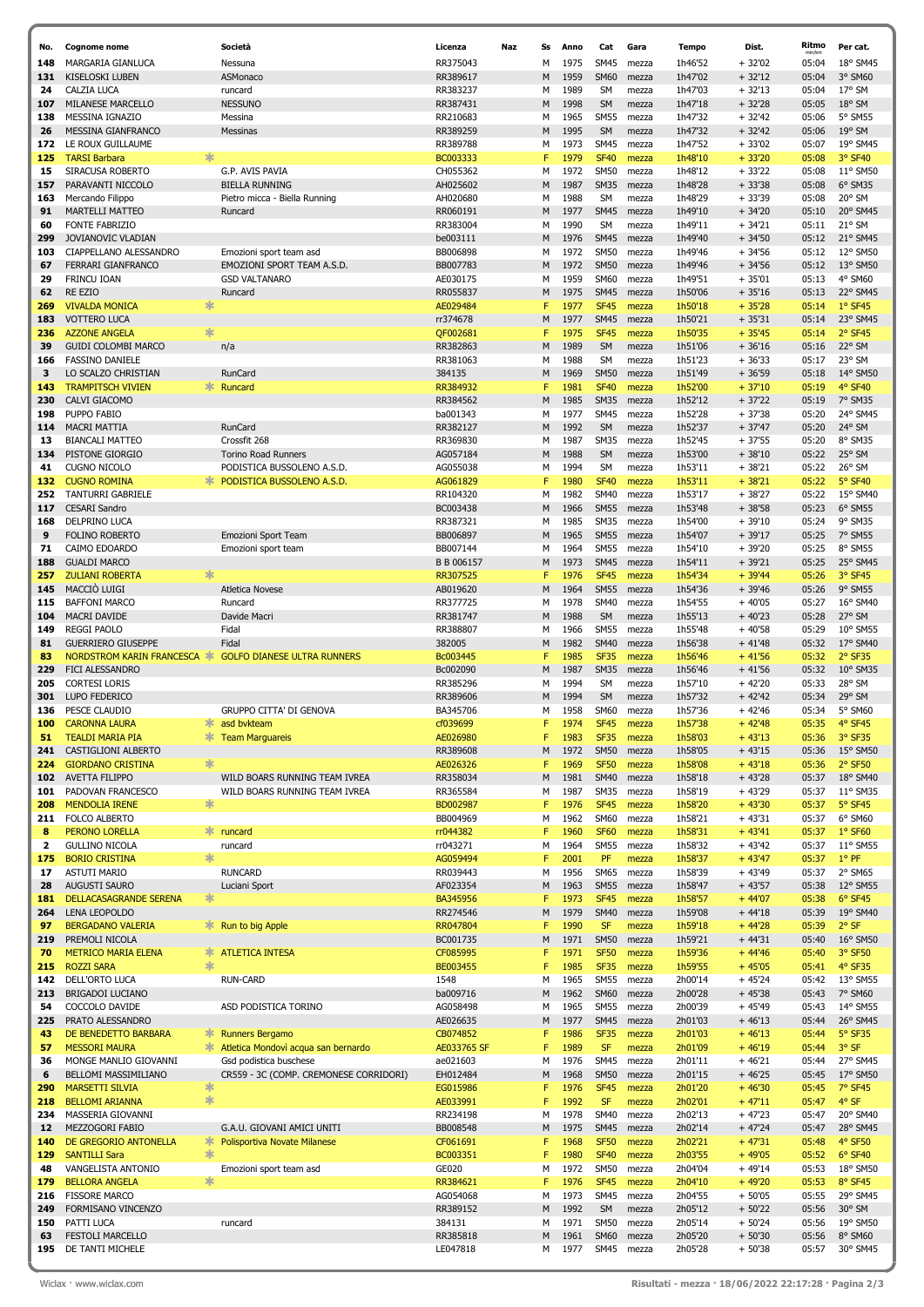| No.        | <b>Cognome nome</b>                              |             | Società                                  | Licenza              | Naz | Ss     | Anno         | Cat                        | Gara           | <b>Tempo</b>       | Dist.                | Ritmo          | Per cat.              |
|------------|--------------------------------------------------|-------------|------------------------------------------|----------------------|-----|--------|--------------|----------------------------|----------------|--------------------|----------------------|----------------|-----------------------|
| 148        | MARGARIA GIANLUCA                                |             | Nessuna                                  | RR375043             |     | M      | 1975         | <b>SM45</b>                | mezza          | 1h46'52            | + 32'02              | 05:04          | 18° SM45              |
| 131        | KISELOSKI LUBEN                                  |             | ASMonaco                                 | RR389617             |     | M      | 1959         | <b>SM60</b>                | mezza          | 1h47'02            | $+32'12$             | 05:04          | 3° SM60               |
| 24         | CALZIA LUCA                                      |             | runcard                                  | RR383237             |     | М      | 1989         | <b>SM</b>                  | mezza          | 1h47'03            | $+32'13$             | 05:04          | 17° SM                |
| 107<br>138 | MILANESE MARCELLO<br>MESSINA IGNAZIO             |             | <b>NESSUNO</b><br>Messina                | RR387431<br>RR210683 |     | M<br>М | 1998<br>1965 | <b>SM</b><br><b>SM55</b>   | mezza          | 1h47'18<br>1h47'32 | $+32'28$<br>$+32'42$ | 05:05<br>05:06 | $18°$ SM<br>5° SM55   |
| 26         | MESSINA GIANFRANCO                               |             | Messinas                                 | RR389259             |     | M      | 1995         | <b>SM</b>                  | mezza<br>mezza | 1h47'32            | $+32'42$             | 05:06          | $19°$ SM              |
| 172        | LE ROUX GUILLAUME                                |             |                                          | RR389788             |     | M      | 1973         | <b>SM45</b>                | mezza          | 1h47'52            | $+33'02$             | 05:07          | 19° SM45              |
| 125        | <b>TARSI Barbara</b>                             | 宋           |                                          | BC003333             |     | F      | 1979         | <b>SF40</b>                | mezza          | 1h48'10            | $+33'20$             | 05:08          | 3° SF40               |
| 15         | SIRACUSA ROBERTO                                 |             | G.P. AVIS PAVIA                          | CH055362             |     | M      | 1972         | <b>SM50</b>                | mezza          | 1h48'12            | $+33'22$             | 05:08          | 11° SM50              |
| 157        | PARAVANTI NICCOLO                                |             | <b>BIELLA RUNNING</b>                    | AH025602             |     | M      | 1987         | <b>SM35</b>                | mezza          | 1h48'28            | $+33'38$             | 05:08          | 6° SM35               |
| 163<br>91  | Mercando Filippo<br><b>MARTELLI MATTEO</b>       |             | Pietro micca - Biella Running<br>Runcard | AH020680<br>RR060191 |     | M<br>M | 1988<br>1977 | <b>SM</b><br><b>SM45</b>   | mezza<br>mezza | 1h48'29<br>1h49'10 | $+33'39$<br>$+34'20$ | 05:08<br>05:10 | 20° SM<br>20° SM45    |
| 60         | <b>FONTE FABRIZIO</b>                            |             |                                          | RR383004             |     | М      | 1990         | <b>SM</b>                  | mezza          | 1h49'11            | $+34'21$             | 05:11          | $21°$ SM              |
| 299        | JOVIANOVIC VLADIAN                               |             |                                          | be003111             |     | M      | 1976         | <b>SM45</b>                | mezza          | 1h49'40            | $+34'50$             | 05:12          | 21° SM45              |
| 103        | CIAPPELLANO ALESSANDRO                           |             | Emozioni sport team asd                  | BB006898             |     | М      | 1972         | <b>SM50</b>                | mezza          | 1h49'46            | $+34'56$             | 05:12          | 12° SM50              |
| 67         | FERRARI GIANFRANCO                               |             | EMOZIONI SPORT TEAM A.S.D.               | BB007783             |     | M      | 1972         | <b>SM50</b>                | mezza          | 1h49'46            | $+34'56$             | 05:12          | 13° SM50              |
| 29         | FRINCU IOAN                                      |             | <b>GSD VALTANARO</b>                     | AE030175             |     | М      | 1959         | <b>SM60</b>                | mezza          | 1h49'51            | $+35'01$             | 05:13          | 4° SM60               |
| 62<br>269  | <b>RE EZIO</b><br><b>VIVALDA MONICA</b>          | 氺           | Runcard                                  | RR055837             |     | M<br>F | 1975<br>1977 | <b>SM45</b><br><b>SF45</b> | mezza          | 1h50'06<br>1h50'18 | $+35'16$<br>$+35'28$ | 05:13<br>05:14 | 22° SM45<br>$1°$ SF45 |
| 183        | <b>VOTTERO LUCA</b>                              |             |                                          | AE029484<br>rr374678 |     | M      | 1977         | <b>SM45</b>                | mezza<br>mezza | 1h50'21            | $+35'31$             | 05:14          | 23° SM45              |
| 236        | <b>AZZONE ANGELA</b>                             | 氺           |                                          | QF002681             |     | F      | 1975         | <b>SF45</b>                | mezza          | 1h50'35            | $+35'45$             | 05:14          | 2° SF45               |
| 39         | <b>GUIDI COLOMBI MARCO</b>                       |             | n/a                                      | RR382863             |     | M      | 1989         | <b>SM</b>                  | mezza          | 1h51'06            | $+36'16$             | 05:16          | 22° SM                |
| 166        | <b>FASSINO DANIELE</b>                           |             |                                          | RR381063             |     | М      | 1988         | <b>SM</b>                  | mezza          | 1h51'23            | $+36'33$             | 05:17          | 23° SM                |
| 3          | LO SCALZO CHRISTIAN                              |             | RunCard                                  | 384135               |     | M      | 1969         | <b>SM50</b>                | mezza          | 1h51'49            | $+36'59$             | 05:18          | 14° SM50              |
| 143<br>230 | <b>TRAMPITSCH VIVIEN</b>                         | ∗           | Runcard                                  | RR384932<br>RR384562 |     | F<br>M | 1981<br>1985 | <b>SF40</b><br><b>SM35</b> | mezza          | 1h52'00<br>1h52'12 | $+37'10$<br>$+37'22$ | 05:19          | 4° SF40<br>7° SM35    |
| 198        | CALVI GIACOMO<br>PUPPO FABIO                     |             |                                          | ba001343             |     | M      | 1977         | <b>SM45</b>                | mezza<br>mezza | 1h52'28            | $+37'38$             | 05:19<br>05:20 | 24° SM45              |
| 114        | <b>MACRI MATTIA</b>                              |             | RunCard                                  | RR382127             |     | M      | 1992         | <b>SM</b>                  | mezza          | 1h52'37            | $+37'47$             | 05:20          | 24° SM                |
| 13         | <b>BIANCALI MATTEO</b>                           |             | Crossfit 268                             | RR369830             |     | M      | 1987         | <b>SM35</b>                | mezza          | 1h52'45            | $+37'55$             | 05:20          | 8° SM35               |
| 134        | PISTONE GIORGIO                                  |             | <b>Torino Road Runners</b>               | AG057184             |     | M      | 1988         | <b>SM</b>                  | mezza          | 1h53'00            | $+38'10$             | 05:22          | 25° SM                |
| 41         | <b>CUGNO NICOLO</b>                              |             | PODISTICA BUSSOLENO A.S.D.               | AG055038             |     | M      | 1994         | <b>SM</b>                  | mezza          | 1h53'11            | $+38'21$             | 05:22          | 26° SM                |
| 132        | <b>CUGNO ROMINA</b>                              | $\ast$      | PODISTICA BUSSOLENO A.S.D.               | AG061829             |     | F      | 1980         | <b>SF40</b>                | mezza          | 1h53'11            | $+38'21$             | 05:22          | 5° SF40               |
| 252<br>117 | TANTURRI GABRIELE<br><b>CESARI Sandro</b>        |             |                                          | RR104320<br>BC003438 |     | M<br>M | 1982<br>1966 | <b>SM40</b><br><b>SM55</b> | mezza<br>mezza | 1h53'17<br>1h53'48 | $+38'27$<br>$+38'58$ | 05:22<br>05:23 | 15° SM40<br>6° SM55   |
| 168        | DELPRINO LUCA                                    |             |                                          | RR387321             |     | М      | 1985         | <b>SM35</b>                | mezza          | 1h54'00            | + 39'10              | 05:24          | 9° SM35               |
| 9          | <b>FOLINO ROBERTO</b>                            |             | Emozioni Sport Team                      | BB006897             |     | M      | 1965         | <b>SM55</b>                | mezza          | 1h54'07            | $+39'17$             | 05:25          | 7° SM55               |
| 71         | CAIMO EDOARDO                                    |             | Emozioni sport team                      | BB007144             |     | М      | 1964         | <b>SM55</b>                | mezza          | 1h54'10            | $+39'20$             | 05:25          | 8° SM55               |
| 188        | <b>GUALDI MARCO</b>                              |             |                                          | B B 006157           |     | M      | 1973         | <b>SM45</b>                | mezza          | 1h54'11            | $+39'21$             | 05:25          | 25° SM45              |
| 257        | <b>ZULIANI ROBERTA</b>                           | ∗           |                                          | RR307525             |     | F      | 1976         | <b>SF45</b>                | mezza          | 1h54'34            | $+39'44$             | 05:26          | 3° SF45               |
| 145        | MACCIÓ LUIGI                                     |             | <b>Atletica Novese</b>                   | AB019620             |     | M      | 1964         | <b>SM55</b>                | mezza          | 1h54'36            | $+39'46$             | 05:26          | 9° SM55               |
| 115<br>104 | <b>BAFFONI MARCO</b><br><b>MACRI DAVIDE</b>      |             | Runcard<br>Davide Macri                  | RR377725<br>RR381747 |     | М<br>M | 1978<br>1988 | <b>SM40</b><br><b>SM</b>   | mezza<br>mezza | 1h54'55<br>1h55'13 | $+40'05$<br>$+40'23$ | 05:27<br>05:28 | 16° SM40<br>27° SM    |
| 149        | <b>REGGI PAOLO</b>                               |             | Fidal                                    | RR388807             |     | М      | 1966         | <b>SM55</b>                | mezza          | 1h55'48            | $+40'58$             | 05:29          | 10° SM55              |
| 81         | <b>GUERRIERO GIUSEPPE</b>                        |             | Fidal                                    | 382005               |     | M      | 1982         | <b>SM40</b>                | mezza          | 1h56'38            | $+41'48$             | 05:32          | 17° SM40              |
| -83        | NORDSTROM KARIN FRANCESCA                        |             | <b>GOLFO DIANESE ULTRA RUNNERS</b>       | Bc003445             |     | F      | 1985         | <b>SF35</b>                | mezza          | 1h56'46            | $+41'56$             | 05:32          | 2° SF35               |
| 229        | FICI ALESSANDRO                                  |             |                                          | Bc002090             |     | M      | 1987         | <b>SM35</b>                | mezza          | 1h56'46            | $+41'56$             | 05:32          | 10° SM35              |
| 205        | <b>CORTESI LORIS</b>                             |             |                                          | RR385296             |     | M      | 1994         | <b>SM</b>                  | mezza          | 1h57'10            | $+42'20$             | 05:33          | 28° SM                |
| 301<br>136 | LUPO FEDERICO<br>PESCE CLAUDIO                   |             | <b>GRUPPO CITTA' DI GENOVA</b>           | RR389606<br>BA345706 |     | M<br>м | 1994<br>1958 | <b>SM</b><br>SM60          | mezza<br>mezza | 1h57'32<br>1h57'36 | $+42'42$<br>$+42'46$ | 05:34<br>05:34 | 29° SM<br>5° SM60     |
| 100        | <b>CARONNA LAURA</b>                             | ∗           | asd bykteam                              | cf039699             |     | F      | 1974         | <b>SF45</b>                | mezza          | 1h57'38            | $+42'48$             | 05:35          | 4° SF45               |
| 51         | <b>TEALDI MARIA PIA</b>                          | ∗           | <b>Team Marguareis</b>                   | AE026980             |     | F      | 1983         | <b>SF35</b>                | mezza          | 1h58'03            | $+43'13$             | 05:36          | 3° SF35               |
| 241        | CASTIGLIONI ALBERTO                              |             |                                          | RR389608             |     | M      | 1972         | <b>SM50</b>                | mezza          | 1h58'05            | $+43'15$             | 05:36          | 15° SM50              |
| 224        | <b>GIORDANO CRISTINA</b>                         | 氺           |                                          | AE026326             |     | F      | 1969         | <b>SF50</b>                | mezza          | 1h58'08            | $+43'18$             | 05:36          | 2° SF50               |
| 102        | <b>AVETTA FILIPPO</b>                            |             | WILD BOARS RUNNING TEAM IVREA            | RR358034             |     | M      | 1981         | <b>SM40</b>                | mezza          | 1h58'18            | $+43'28$             | 05:37          | 18° SM40              |
| 101<br>208 | PADOVAN FRANCESCO<br><b>MENDOLIA IRENE</b>       | ∗           | WILD BOARS RUNNING TEAM IVREA            | RR365584<br>BD002987 |     | M<br>F | 1987<br>1976 | <b>SM35</b><br><b>SF45</b> | mezza<br>mezza | 1h58'19<br>1h58'20 | $+43'29$<br>$+43'30$ | 05:37<br>05:37 | 11° SM35<br>5° SF45   |
| 211        | FOLCO ALBERTO                                    |             |                                          | BB004969             |     | М      | 1962         | SM60                       | mezza          | 1h58'21            | $+43'31$             | 05:37          | 6° SM60               |
| 8          | PERONO LORELLA                                   | *           | runcard                                  | rr044382             |     | F      | 1960         | <b>SF60</b>                | mezza          | 1h58'31            | $+43'41$             | 05:37          | 1° SF60               |
| 2          | <b>GULLINO NICOLA</b>                            |             | runcard                                  | rr043271             |     | М      | 1964         | <b>SM55</b>                | mezza          | 1h58'32            | $+43'42$             | 05:37          | 11° SM55              |
| 175        | <b>BORIO CRISTINA</b>                            | ∗           |                                          | AG059494             |     | F      | 2001         | PF                         | mezza          | 1h58'37            | $+43'47$             | 05:37          | $1°$ PF               |
| 17         | <b>ASTUTI MARIO</b>                              |             | <b>RUNCARD</b>                           | RR039443             |     | М      | 1956         | <b>SM65</b>                | mezza          | 1h58'39            | $+43'49$             | 05:37          | 2° SM65               |
| 28<br>181  | AUGUSTI SAURO<br>DELLACASAGRANDE SERENA          | ∗           | Luciani Sport                            | AF023354<br>BA345956 |     | M<br>F | 1963<br>1973 | <b>SM55</b><br><b>SF45</b> | mezza<br>mezza | 1h58'47<br>1h58'57 | $+43'57$<br>$+44'07$ | 05:38<br>05:38 | 12° SM55<br>6° SF45   |
| 264        | <b>LENA LEOPOLDO</b>                             |             |                                          | RR274546             |     | M      | 1979         | <b>SM40</b>                | mezza          | 1h59'08            | $+44'18$             | 05:39          | 19° SM40              |
| 97         | <b>BERGADANO VALERIA</b>                         | *           | Run to big Apple                         | RR047804             |     | F      | 1990         | <b>SF</b>                  | mezza          | 1h59'18            | $+44'28$             | 05:39          | 2° SF                 |
| 219        | PREMOLI NICOLA                                   |             |                                          | BC001735             |     | M      | 1971         | <b>SM50</b>                | mezza          | 1h59'21            | $+44'31$             | 05:40          | 16° SM50              |
| 70         | METRICO MARIA ELENA                              | ∗           | <b>ATLETICA INTESA</b>                   | CF085995             |     | F      | 1971         | <b>SF50</b>                | mezza          | 1h59'36            | $+ 44'46$            | 05:40          | 3° SF50               |
| 215        | <b>ROZZI SARA</b>                                | 氺           |                                          | BE003455             |     | F      | 1985         | <b>SF35</b>                | mezza          | 1h59'55            | $+45'05$             | 05:41          | 4° SF35               |
| 142<br>213 | DELL'ORTO LUCA<br>BRIGADOI LUCIANO               |             | <b>RUN-CARD</b>                          | 1548<br>ba009716     |     | M<br>M | 1965<br>1962 | <b>SM55</b><br><b>SM60</b> | mezza<br>mezza | 2h00'14<br>2h00'28 | $+45'24$<br>$+45'38$ | 05:42<br>05:43 | 13° SM55<br>7° SM60   |
| 54         | COCCOLO DAVIDE                                   |             | ASD PODISTICA TORINO                     | AG058498             |     | М      | 1965         | <b>SM55</b>                | mezza          | 2h00'39            | $+45'49$             | 05:43          | 14° SM55              |
| 225        | PRATO ALESSANDRO                                 |             |                                          | AE026635             |     | M      | 1977         | <b>SM45</b>                | mezza          | 2h01'03            | $+46'13$             | 05:44          | 26° SM45              |
| 43         | DE BENEDETTO BARBARA                             | ∗           | <b>Runners Bergamo</b>                   | CB074852             |     | F      | 1986         | <b>SF35</b>                | mezza          | 2h01'03            | $+46'13$             | 05:44          | 5° SF35               |
| 57         | <b>MESSORI MAURA</b>                             | ∗           | Atletica Mondovì acqua san bernardo      | AE033765 SF          |     | F      | 1989         | <b>SF</b>                  | mezza          | 2h01'09            | $+46'19$             | 05:44          | 3° SF                 |
| 36         | MONGE MANLIO GIOVANNI                            |             | Gsd podistica buschese                   | ae021603             |     | М      | 1976         | <b>SM45</b>                | mezza          | 2h01'11            | $+46'21$             | 05:44          | 27° SM45              |
| 6          | BELLOMI MASSIMILIANO                             |             | CR559 - 3C (COMP. CREMONESE CORRIDORI)   | EH012484             |     | M      | 1968         | <b>SM50</b>                | mezza          | 2h01'15            | $+46'25$             | 05:45          | 17° SM50              |
| 290<br>218 | <b>MARSETTI SILVIA</b><br><b>BELLOMI ARIANNA</b> | ∗<br>$\ast$ |                                          | EG015986<br>AE033991 |     | F<br>F | 1976<br>1992 | <b>SF45</b><br><b>SF</b>   | mezza<br>mezza | 2h01'20<br>2h02'01 | $+46'30$<br>$+47'11$ | 05:45<br>05:47 | 7° SF45<br>4° SF      |
| 234        | MASSERIA GIOVANNI                                |             |                                          | RR234198             |     | M      | 1978         | <b>SM40</b>                | mezza          | 2h02'13            | $+47'23$             | 05:47          | 20° SM40              |
| 12         | MEZZOGORI FABIO                                  |             | G.A.U. GIOVANI AMICI UNITI               | BB008548             |     | M      | 1975         | <b>SM45</b>                | mezza          | 2h02'14            | $+47'24$             | 05:47          | 28° SM45              |
| 140        | DE GREGORIO ANTONELLA                            | ∗           | Polisportiva Novate Milanese             | CF061691             |     | F      | 1968         | <b>SF50</b>                | mezza          | 2h02'21            | $+47'31$             | 05:48          | 4° SF50               |
| 129        | <b>SANTILLI Sara</b>                             | 氺           |                                          | BC003351             |     | F      | 1980         | <b>SF40</b>                | mezza          | 2h03'55            | $+49'05$             | 05:52          | 6° SF40               |
| 48         | VANGELISTA ANTONIO                               |             | Emozioni sport team asd                  | GE020                |     | M      | 1972         | <b>SM50</b>                | mezza          | 2h04'04            | $+49'14$             | 05:53          | 18° SM50              |
| 179        | <b>BELLORA ANGELA</b>                            | $\ast$      |                                          | RR384621             |     | F      | 1976         | <b>SF45</b>                | mezza          | 2h04'10            | $+49'20$             | 05:53          | 8° SF45               |
| 216<br>249 | <b>FISSORE MARCO</b><br>FORMISANO VINCENZO       |             |                                          | AG054068<br>RR389152 |     | M<br>M | 1973<br>1992 | <b>SM45</b><br>SM          | mezza<br>mezza | 2h04'55<br>2h05'12 | $+50'05$<br>$+50'22$ | 05:55<br>05:56 | 29° SM45<br>30° SM    |
| 150        | PATTI LUCA                                       |             | runcard                                  | 384131               |     | М      | 1971         | <b>SM50</b>                | mezza          | 2h05'14            | $+50'24$             | 05:56          | 19° SM50              |
| 63         | <b>FESTOLI MARCELLO</b>                          |             |                                          | RR385818             |     | M      | 1961         | <b>SM60</b>                | mezza          | 2h05'20            | $+50'30$             | 05:56          | 8° SM60               |
| 195        | DE TANTI MICHELE                                 |             |                                          | LE047818             |     | M      | 1977         | <b>SM45</b>                | mezza          | 2h05'28            | $+50'38$             | 05:57          | 30° SM45              |